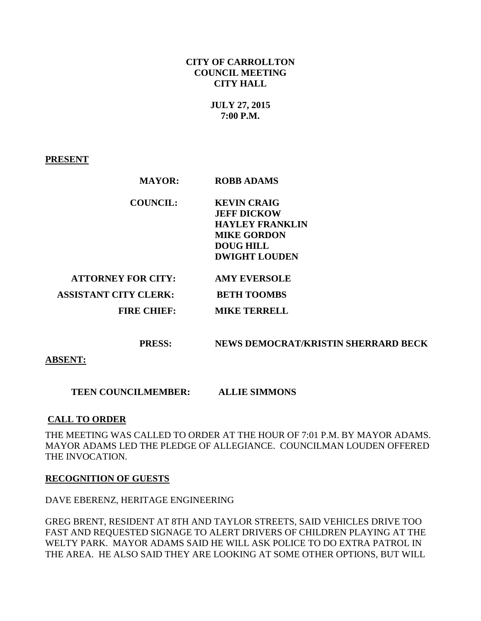## **CITY OF CARROLLTON COUNCIL MEETING CITY HALL**

# **JULY 27, 2015 7:00 P.M.**

## **PRESENT**

| <b>MAYOR:</b>                | <b>ROBB ADAMS</b>      |  |
|------------------------------|------------------------|--|
| <b>COUNCIL:</b>              | <b>KEVIN CRAIG</b>     |  |
|                              | <b>JEFF DICKOW</b>     |  |
|                              | <b>HAYLEY FRANKLIN</b> |  |
|                              | <b>MIKE GORDON</b>     |  |
|                              | <b>DOUG HILL</b>       |  |
|                              | <b>DWIGHT LOUDEN</b>   |  |
| <b>ATTORNEY FOR CITY:</b>    | <b>AMY EVERSOLE</b>    |  |
| <b>ASSISTANT CITY CLERK:</b> | <b>BETH TOOMBS</b>     |  |
| <b>FIRE CHIEF:</b>           | <b>MIKE TERRELL</b>    |  |
|                              |                        |  |
|                              |                        |  |

 **PRESS: NEWS DEMOCRAT/KRISTIN SHERRARD BECK** 

**ABSENT:** 

 **TEEN COUNCILMEMBER: ALLIE SIMMONS** 

# **CALL TO ORDER**

THE MEETING WAS CALLED TO ORDER AT THE HOUR OF 7:01 P.M. BY MAYOR ADAMS. MAYOR ADAMS LED THE PLEDGE OF ALLEGIANCE. COUNCILMAN LOUDEN OFFERED THE INVOCATION.

### **RECOGNITION OF GUESTS**

DAVE EBERENZ, HERITAGE ENGINEERING

GREG BRENT, RESIDENT AT 8TH AND TAYLOR STREETS, SAID VEHICLES DRIVE TOO FAST AND REQUESTED SIGNAGE TO ALERT DRIVERS OF CHILDREN PLAYING AT THE WELTY PARK. MAYOR ADAMS SAID HE WILL ASK POLICE TO DO EXTRA PATROL IN THE AREA. HE ALSO SAID THEY ARE LOOKING AT SOME OTHER OPTIONS, BUT WILL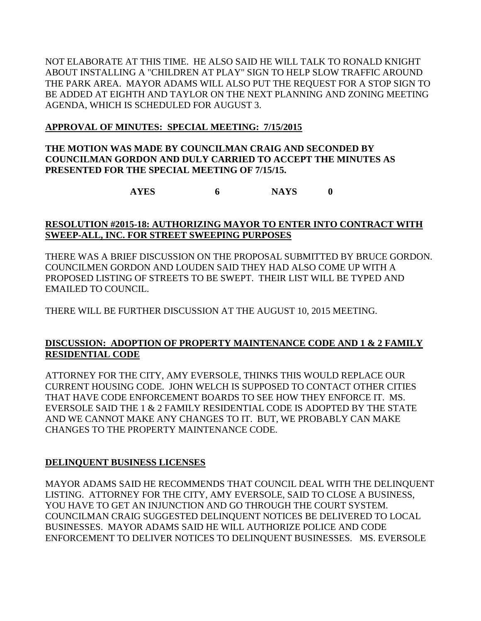NOT ELABORATE AT THIS TIME. HE ALSO SAID HE WILL TALK TO RONALD KNIGHT ABOUT INSTALLING A "CHILDREN AT PLAY" SIGN TO HELP SLOW TRAFFIC AROUND THE PARK AREA. MAYOR ADAMS WILL ALSO PUT THE REQUEST FOR A STOP SIGN TO BE ADDED AT EIGHTH AND TAYLOR ON THE NEXT PLANNING AND ZONING MEETING AGENDA, WHICH IS SCHEDULED FOR AUGUST 3.

# **APPROVAL OF MINUTES: SPECIAL MEETING: 7/15/2015**

# **THE MOTION WAS MADE BY COUNCILMAN CRAIG AND SECONDED BY COUNCILMAN GORDON AND DULY CARRIED TO ACCEPT THE MINUTES AS PRESENTED FOR THE SPECIAL MEETING OF 7/15/15.**

**AYES 6 NAYS 0**

# **RESOLUTION #2015-18: AUTHORIZING MAYOR TO ENTER INTO CONTRACT WITH SWEEP-ALL, INC. FOR STREET SWEEPING PURPOSES**

THERE WAS A BRIEF DISCUSSION ON THE PROPOSAL SUBMITTED BY BRUCE GORDON. COUNCILMEN GORDON AND LOUDEN SAID THEY HAD ALSO COME UP WITH A PROPOSED LISTING OF STREETS TO BE SWEPT. THEIR LIST WILL BE TYPED AND EMAILED TO COUNCIL.

THERE WILL BE FURTHER DISCUSSION AT THE AUGUST 10, 2015 MEETING.

# **DISCUSSION: ADOPTION OF PROPERTY MAINTENANCE CODE AND 1 & 2 FAMILY RESIDENTIAL CODE**

ATTORNEY FOR THE CITY, AMY EVERSOLE, THINKS THIS WOULD REPLACE OUR CURRENT HOUSING CODE. JOHN WELCH IS SUPPOSED TO CONTACT OTHER CITIES THAT HAVE CODE ENFORCEMENT BOARDS TO SEE HOW THEY ENFORCE IT. MS. EVERSOLE SAID THE 1 & 2 FAMILY RESIDENTIAL CODE IS ADOPTED BY THE STATE AND WE CANNOT MAKE ANY CHANGES TO IT. BUT, WE PROBABLY CAN MAKE CHANGES TO THE PROPERTY MAINTENANCE CODE.

# **DELINQUENT BUSINESS LICENSES**

MAYOR ADAMS SAID HE RECOMMENDS THAT COUNCIL DEAL WITH THE DELINQUENT LISTING. ATTORNEY FOR THE CITY, AMY EVERSOLE, SAID TO CLOSE A BUSINESS, YOU HAVE TO GET AN INJUNCTION AND GO THROUGH THE COURT SYSTEM. COUNCILMAN CRAIG SUGGESTED DELINQUENT NOTICES BE DELIVERED TO LOCAL BUSINESSES. MAYOR ADAMS SAID HE WILL AUTHORIZE POLICE AND CODE ENFORCEMENT TO DELIVER NOTICES TO DELINQUENT BUSINESSES. MS. EVERSOLE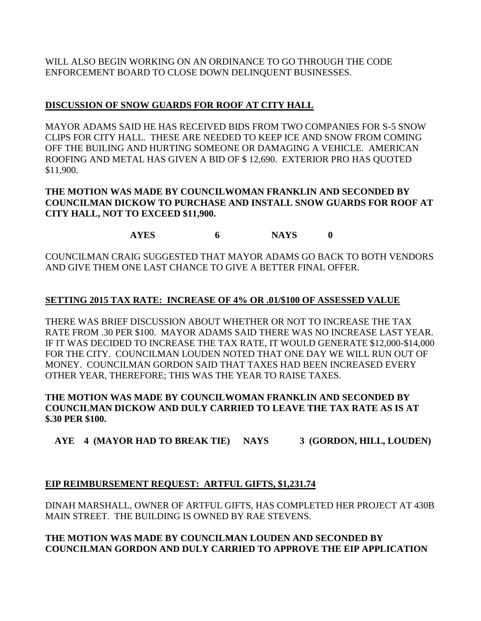WILL ALSO BEGIN WORKING ON AN ORDINANCE TO GO THROUGH THE CODE ENFORCEMENT BOARD TO CLOSE DOWN DELINQUENT BUSINESSES.

# **DISCUSSION OF SNOW GUARDS FOR ROOF AT CITY HALL**

MAYOR ADAMS SAID HE HAS RECEIVED BIDS FROM TWO COMPANIES FOR S-5 SNOW CLIPS FOR CITY HALL. THESE ARE NEEDED TO KEEP ICE AND SNOW FROM COMING OFF THE BUILING AND HURTING SOMEONE OR DAMAGING A VEHICLE. AMERICAN ROOFING AND METAL HAS GIVEN A BID OF \$ 12,690. EXTERIOR PRO HAS QUOTED \$11,900.

## **THE MOTION WAS MADE BY COUNCILWOMAN FRANKLIN AND SECONDED BY COUNCILMAN DICKOW TO PURCHASE AND INSTALL SNOW GUARDS FOR ROOF AT CITY HALL, NOT TO EXCEED \$11,900.**

**AYES 6 NAYS 0**

COUNCILMAN CRAIG SUGGESTED THAT MAYOR ADAMS GO BACK TO BOTH VENDORS AND GIVE THEM ONE LAST CHANCE TO GIVE A BETTER FINAL OFFER.

# **SETTING 2015 TAX RATE: INCREASE OF 4% OR .01/\$100 OF ASSESSED VALUE**

THERE WAS BRIEF DISCUSSION ABOUT WHETHER OR NOT TO INCREASE THE TAX RATE FROM .30 PER \$100. MAYOR ADAMS SAID THERE WAS NO INCREASE LAST YEAR. IF IT WAS DECIDED TO INCREASE THE TAX RATE, IT WOULD GENERATE \$12,000-\$14,000 FOR THE CITY. COUNCILMAN LOUDEN NOTED THAT ONE DAY WE WILL RUN OUT OF MONEY. COUNCILMAN GORDON SAID THAT TAXES HAD BEEN INCREASED EVERY OTHER YEAR, THEREFORE; THIS WAS THE YEAR TO RAISE TAXES.

# **THE MOTION WAS MADE BY COUNCILWOMAN FRANKLIN AND SECONDED BY COUNCILMAN DICKOW AND DULY CARRIED TO LEAVE THE TAX RATE AS IS AT \$.30 PER \$100.**

 **AYE 4 (MAYOR HAD TO BREAK TIE) NAYS 3 (GORDON, HILL, LOUDEN)**

# **EIP REIMBURSEMENT REQUEST: ARTFUL GIFTS, \$1,231.74**

DINAH MARSHALL, OWNER OF ARTFUL GIFTS, HAS COMPLETED HER PROJECT AT 430B MAIN STREET. THE BUILDING IS OWNED BY RAE STEVENS.

# **THE MOTION WAS MADE BY COUNCILMAN LOUDEN AND SECONDED BY COUNCILMAN GORDON AND DULY CARRIED TO APPROVE THE EIP APPLICATION**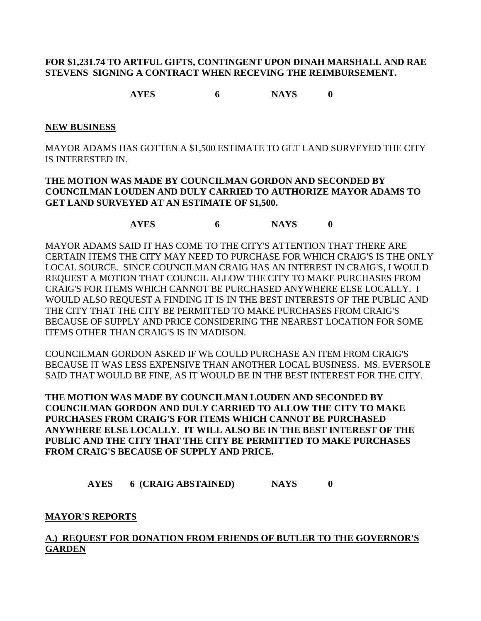## **FOR \$1,231.74 TO ARTFUL GIFTS, CONTINGENT UPON DINAH MARSHALL AND RAE STEVENS SIGNING A CONTRACT WHEN RECEVING THE REIMBURSEMENT.**

**AYES 6 NAYS 0**

#### **NEW BUSINESS**

MAYOR ADAMS HAS GOTTEN A \$1,500 ESTIMATE TO GET LAND SURVEYED THE CITY IS INTERESTED IN.

## **THE MOTION WAS MADE BY COUNCILMAN GORDON AND SECONDED BY COUNCILMAN LOUDEN AND DULY CARRIED TO AUTHORIZE MAYOR ADAMS TO GET LAND SURVEYED AT AN ESTIMATE OF \$1,500.**

**AYES 6 NAYS 0**

MAYOR ADAMS SAID IT HAS COME TO THE CITY'S ATTENTION THAT THERE ARE CERTAIN ITEMS THE CITY MAY NEED TO PURCHASE FOR WHICH CRAIG'S IS THE ONLY LOCAL SOURCE. SINCE COUNCILMAN CRAIG HAS AN INTEREST IN CRAIG'S, I WOULD REQUEST A MOTION THAT COUNCIL ALLOW THE CITY TO MAKE PURCHASES FROM CRAIG'S FOR ITEMS WHICH CANNOT BE PURCHASED ANYWHERE ELSE LOCALLY. I WOULD ALSO REQUEST A FINDING IT IS IN THE BEST INTERESTS OF THE PUBLIC AND THE CITY THAT THE CITY BE PERMITTED TO MAKE PURCHASES FROM CRAIG'S BECAUSE OF SUPPLY AND PRICE CONSIDERING THE NEAREST LOCATION FOR SOME ITEMS OTHER THAN CRAIG'S IS IN MADISON.

COUNCILMAN GORDON ASKED IF WE COULD PURCHASE AN ITEM FROM CRAIG'S BECAUSE IT WAS LESS EXPENSIVE THAN ANOTHER LOCAL BUSINESS. MS. EVERSOLE SAID THAT WOULD BE FINE, AS IT WOULD BE IN THE BEST INTEREST FOR THE CITY.

**THE MOTION WAS MADE BY COUNCILMAN LOUDEN AND SECONDED BY COUNCILMAN GORDON AND DULY CARRIED TO ALLOW THE CITY TO MAKE PURCHASES FROM CRAIG'S FOR ITEMS WHICH CANNOT BE PURCHASED ANYWHERE ELSE LOCALLY. IT WILL ALSO BE IN THE BEST INTEREST OF THE PUBLIC AND THE CITY THAT THE CITY BE PERMITTED TO MAKE PURCHASES FROM CRAIG'S BECAUSE OF SUPPLY AND PRICE.**

 **AYES 6 (CRAIG ABSTAINED) NAYS 0**

### **MAYOR'S REPORTS**

# **A.) REQUEST FOR DONATION FROM FRIENDS OF BUTLER TO THE GOVERNOR'S GARDEN**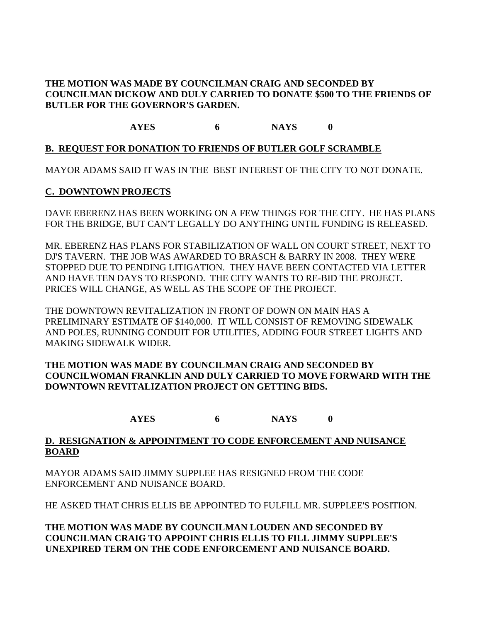## **THE MOTION WAS MADE BY COUNCILMAN CRAIG AND SECONDED BY COUNCILMAN DICKOW AND DULY CARRIED TO DONATE \$500 TO THE FRIENDS OF BUTLER FOR THE GOVERNOR'S GARDEN.**

**AYES 6 NAYS 0**

## **B. REQUEST FOR DONATION TO FRIENDS OF BUTLER GOLF SCRAMBLE**

MAYOR ADAMS SAID IT WAS IN THE BEST INTEREST OF THE CITY TO NOT DONATE.

### **C. DOWNTOWN PROJECTS**

DAVE EBERENZ HAS BEEN WORKING ON A FEW THINGS FOR THE CITY. HE HAS PLANS FOR THE BRIDGE, BUT CAN'T LEGALLY DO ANYTHING UNTIL FUNDING IS RELEASED.

MR. EBERENZ HAS PLANS FOR STABILIZATION OF WALL ON COURT STREET, NEXT TO DJ'S TAVERN. THE JOB WAS AWARDED TO BRASCH & BARRY IN 2008. THEY WERE STOPPED DUE TO PENDING LITIGATION. THEY HAVE BEEN CONTACTED VIA LETTER AND HAVE TEN DAYS TO RESPOND. THE CITY WANTS TO RE-BID THE PROJECT. PRICES WILL CHANGE, AS WELL AS THE SCOPE OF THE PROJECT.

THE DOWNTOWN REVITALIZATION IN FRONT OF DOWN ON MAIN HAS A PRELIMINARY ESTIMATE OF \$140,000. IT WILL CONSIST OF REMOVING SIDEWALK AND POLES, RUNNING CONDUIT FOR UTILITIES, ADDING FOUR STREET LIGHTS AND MAKING SIDEWALK WIDER.

## **THE MOTION WAS MADE BY COUNCILMAN CRAIG AND SECONDED BY COUNCILWOMAN FRANKLIN AND DULY CARRIED TO MOVE FORWARD WITH THE DOWNTOWN REVITALIZATION PROJECT ON GETTING BIDS.**

**AYES 6 NAYS 0**

## **D. RESIGNATION & APPOINTMENT TO CODE ENFORCEMENT AND NUISANCE BOARD**

MAYOR ADAMS SAID JIMMY SUPPLEE HAS RESIGNED FROM THE CODE ENFORCEMENT AND NUISANCE BOARD.

HE ASKED THAT CHRIS ELLIS BE APPOINTED TO FULFILL MR. SUPPLEE'S POSITION.

**THE MOTION WAS MADE BY COUNCILMAN LOUDEN AND SECONDED BY COUNCILMAN CRAIG TO APPOINT CHRIS ELLIS TO FILL JIMMY SUPPLEE'S UNEXPIRED TERM ON THE CODE ENFORCEMENT AND NUISANCE BOARD.**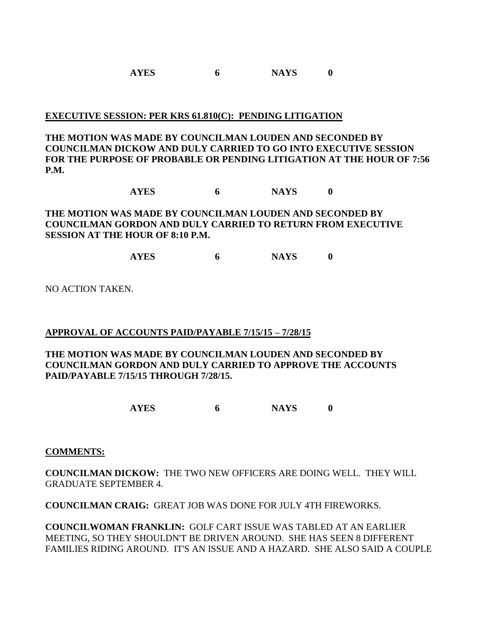## **EXECUTIVE SESSION: PER KRS 61.810(C): PENDING LITIGATION**

**THE MOTION WAS MADE BY COUNCILMAN LOUDEN AND SECONDED BY COUNCILMAN DICKOW AND DULY CARRIED TO GO INTO EXECUTIVE SESSION FOR THE PURPOSE OF PROBABLE OR PENDING LITIGATION AT THE HOUR OF 7:56 P.M.**

**AYES 6 NAYS 0**

# **THE MOTION WAS MADE BY COUNCILMAN LOUDEN AND SECONDED BY COUNCILMAN GORDON AND DULY CARRIED TO RETURN FROM EXECUTIVE SESSION AT THE HOUR OF 8:10 P.M.**

**AYES 6 NAYS 0**

NO ACTION TAKEN.

# **APPROVAL OF ACCOUNTS PAID/PAYABLE 7/15/15 – 7/28/15**

## **THE MOTION WAS MADE BY COUNCILMAN LOUDEN AND SECONDED BY COUNCILMAN GORDON AND DULY CARRIED TO APPROVE THE ACCOUNTS PAID/PAYABLE 7/15/15 THROUGH 7/28/15.**

**AYES 6 NAYS 0**

### **COMMENTS:**

**COUNCILMAN DICKOW:** THE TWO NEW OFFICERS ARE DOING WELL. THEY WILL GRADUATE SEPTEMBER 4.

**COUNCILMAN CRAIG:** GREAT JOB WAS DONE FOR JULY 4TH FIREWORKS.

**COUNCILWOMAN FRANKLIN:** GOLF CART ISSUE WAS TABLED AT AN EARLIER MEETING, SO THEY SHOULDN'T BE DRIVEN AROUND. SHE HAS SEEN 8 DIFFERENT FAMILIES RIDING AROUND. IT'S AN ISSUE AND A HAZARD. SHE ALSO SAID A COUPLE